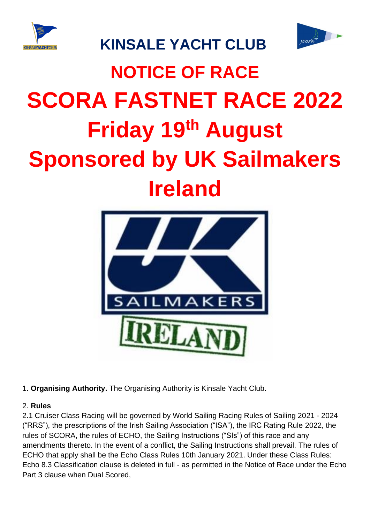



## **KINSALE YACHT CLUB**

# **NOTICE OF RACE SCORA FASTNET RACE 2022 Friday 19th August Sponsored by UK Sailmakers Ireland**



1. **Organising Authority.** The Organising Authority is Kinsale Yacht Club.

#### 2. **Rules**

2.1 Cruiser Class Racing will be governed by World Sailing Racing Rules of Sailing 2021 - 2024 ("RRS"), the prescriptions of the Irish Sailing Association ("ISA"), the IRC Rating Rule 2022, the rules of SCORA, the rules of ECHO, the Sailing Instructions ("SIs") of this race and any amendments thereto. In the event of a conflict, the Sailing Instructions shall prevail. The rules of ECHO that apply shall be the Echo Class Rules 10th January 2021. Under these Class Rules: Echo 8.3 Classification clause is deleted in full - as permitted in the Notice of Race under the Echo Part 3 clause when Dual Scored,